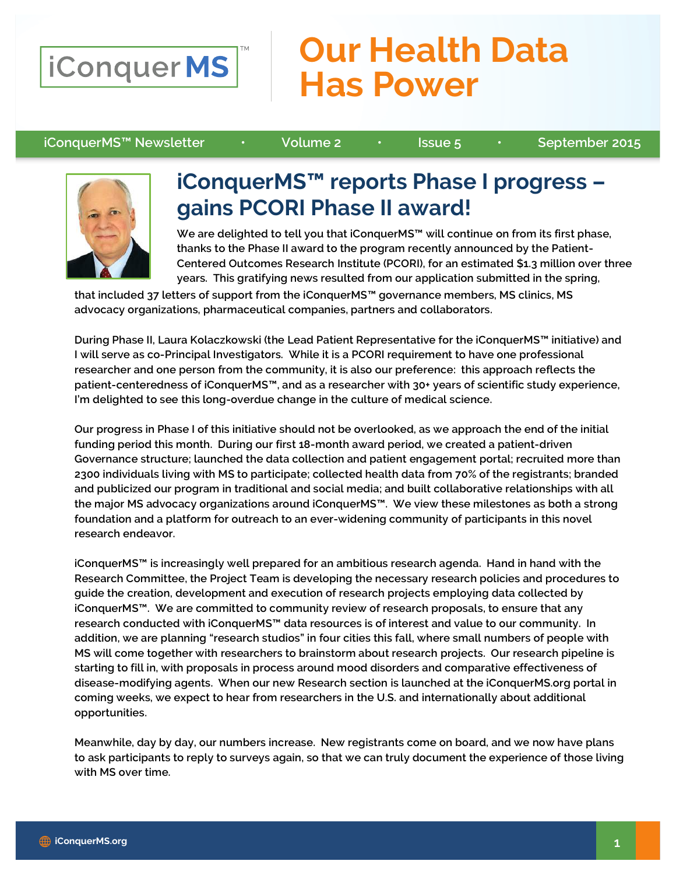

## **Our Health Data Has Power**

#### iConquerMS™ Newsletter • Volume 2 • Issue 5 • September 2015



### iConquerMS™ reports Phase I progress – gains PCORI Phase II award!

We are delighted to tell you that iConquerMS™ will continue on from its first phase, thanks to the Phase II award to the program recently announced by the Patient-Centered Outcomes Research Institute (PCORI), for an estimated \$1.3 million over three years. This gratifying news resulted from our application submitted in the spring,

that included 37 letters of support from the iConquerMS™ governance members, MS clinics, MS advocacy organizations, pharmaceutical companies, partners and collaborators.

During Phase II, Laura Kolaczkowski (the Lead Patient Representative for the iConquerMS™ initiative) and I will serve as co-Principal Investigators. While it is a PCORI requirement to have one professional researcher and one person from the community, it is also our preference: this approach reflects the patient-centeredness of iConquerMS™, and as a researcher with 30+ years of scientific study experience, I'm delighted to see this long-overdue change in the culture of medical science.

Our progress in Phase I of this initiative should not be overlooked, as we approach the end of the initial funding period this month. During our first 18-month award period, we created a patient-driven Governance structure; launched the data collection and patient engagement portal; recruited more than 2300 individuals living with MS to participate; collected health data from 70% of the registrants; branded and publicized our program in traditional and social media; and built collaborative relationships with all the major MS advocacy organizations around iConquerMS™. We view these milestones as both a strong foundation and a platform for outreach to an ever-widening community of participants in this novel research endeavor.

iConquerMS™ is increasingly well prepared for an ambitious research agenda. Hand in hand with the Research Committee, the Project Team is developing the necessary research policies and procedures to guide the creation, development and execution of research projects employing data collected by iConquerMS™. We are committed to community review of research proposals, to ensure that any research conducted with iConquerMS™ data resources is of interest and value to our community. In addition, we are planning "research studios" in four cities this fall, where small numbers of people with MS will come together with researchers to brainstorm about research projects. Our research pipeline is starting to fill in, with proposals in process around mood disorders and comparative effectiveness of disease-modifying agents. When our new Research section is launched at the iConquerMS.org portal in coming weeks, we expect to hear from researchers in the U.S. and internationally about additional opportunities.

Meanwhile, day by day, our numbers increase. New registrants come on board, and we now have plans to ask participants to reply to surveys again, so that we can truly document the experience of those living with MS over time.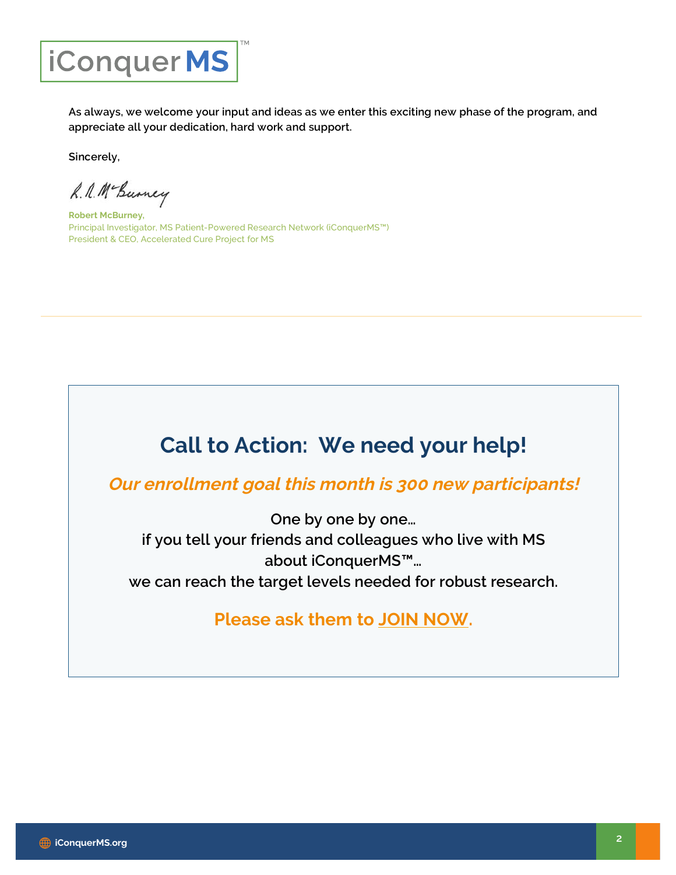

As always, we welcome your input and ideas as we enter this exciting new phase of the program, and appreciate all your dedication, hard work and support.

Sincerely,

R. A. Mc Burney

Robert McBurney, Principal Investigator, MS Patient-Powered Research Network (iConquerMS™) President & CEO, Accelerated Cure Project for MS

## Call to Action: We need your help!

Our enrollment goal this month is 300 new participants!

One by one by one... if you tell your friends and colleagues who live with MS about iConquerMS™… we can reach the target levels needed for robust research.

### Please ask them to JOIN NOW.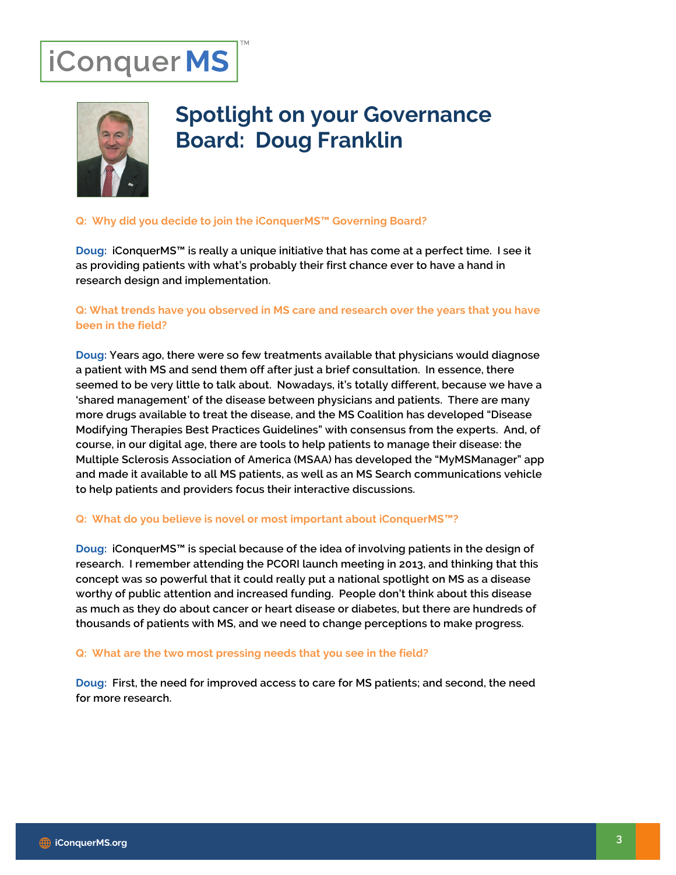# iConquerMS



## Spotlight on your Governance Board: Doug Franklin

#### Q: Why did you decide to join the iConquerMS™ Governing Board?

Doug: iConquerMS™ is really a unique initiative that has come at a perfect time. I see it as providing patients with what's probably their first chance ever to have a hand in research design and implementation.

#### Q: What trends have you observed in MS care and research over the years that you have been in the field?

Doug: Years ago, there were so few treatments available that physicians would diagnose a patient with MS and send them off after just a brief consultation. In essence, there seemed to be very little to talk about. Nowadays, it's totally different, because we have a 'shared management' of the disease between physicians and patients. There are many more drugs available to treat the disease, and the MS Coalition has developed "Disease Modifying Therapies Best Practices Guidelines" with consensus from the experts. And, of course, in our digital age, there are tools to help patients to manage their disease: the Multiple Sclerosis Association of America (MSAA) has developed the "MyMSManager" app and made it available to all MS patients, as well as an MS Search communications vehicle to help patients and providers focus their interactive discussions.

#### Q: What do you believe is novel or most important about iConquerMS™?

Doug: iConquerMS™ is special because of the idea of involving patients in the design of research. I remember attending the PCORI launch meeting in 2013, and thinking that this concept was so powerful that it could really put a national spotlight on MS as a disease worthy of public attention and increased funding. People don't think about this disease as much as they do about cancer or heart disease or diabetes, but there are hundreds of thousands of patients with MS, and we need to change perceptions to make progress.

#### Q: What are the two most pressing needs that you see in the field?

Doug: First, the need for improved access to care for MS patients; and second, the need for more research.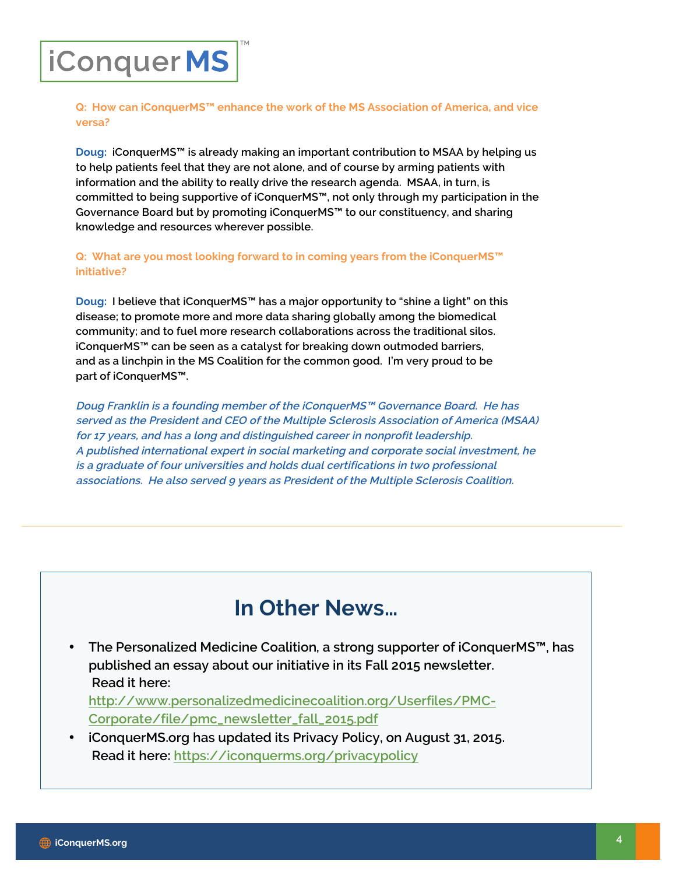## iConquerMS

Q: How can iConquerMS™ enhance the work of the MS Association of America, and vice versa?

Doug: iConquerMS™ is already making an important contribution to MSAA by helping us to help patients feel that they are not alone, and of course by arming patients with information and the ability to really drive the research agenda. MSAA, in turn, is committed to being supportive of iConquerMS™, not only through my participation in the Governance Board but by promoting iConquerMS™ to our constituency, and sharing knowledge and resources wherever possible.

Q: What are you most looking forward to in coming years from the iConquerMS™ initiative?

Doug: I believe that iConquerMS™ has a major opportunity to "shine a light" on this disease; to promote more and more data sharing globally among the biomedical community; and to fuel more research collaborations across the traditional silos. iConquerMS™ can be seen as a catalyst for breaking down outmoded barriers, and as a linchpin in the MS Coalition for the common good. I'm very proud to be part of iConquerMS™.

Doug Franklin is a founding member of the iConquerMS™ Governance Board. He has served as the President and CEO of the Multiple Sclerosis Association of America (MSAA) for 17 years, and has a long and distinguished career in nonprofit leadership. A published international expert in social marketing and corporate social investment, he is a graduate of four universities and holds dual certifications in two professional associations. He also served 9 years as President of the Multiple Sclerosis Coalition.

### In Other News…

• The Personalized Medicine Coalition, a strong supporter of iConquerMS™, has published an essay about our initiative in its Fall 2015 newsletter. Read it here:

http://www.personalizedmedicinecoalition.org/Userfiles/PMC-Corporate/file/pmc\_newsletter\_fall\_2015.pdf

• iConquerMS.org has updated its Privacy Policy, on August 31, 2015. Read it here: https://iconquerms.org/privacypolicy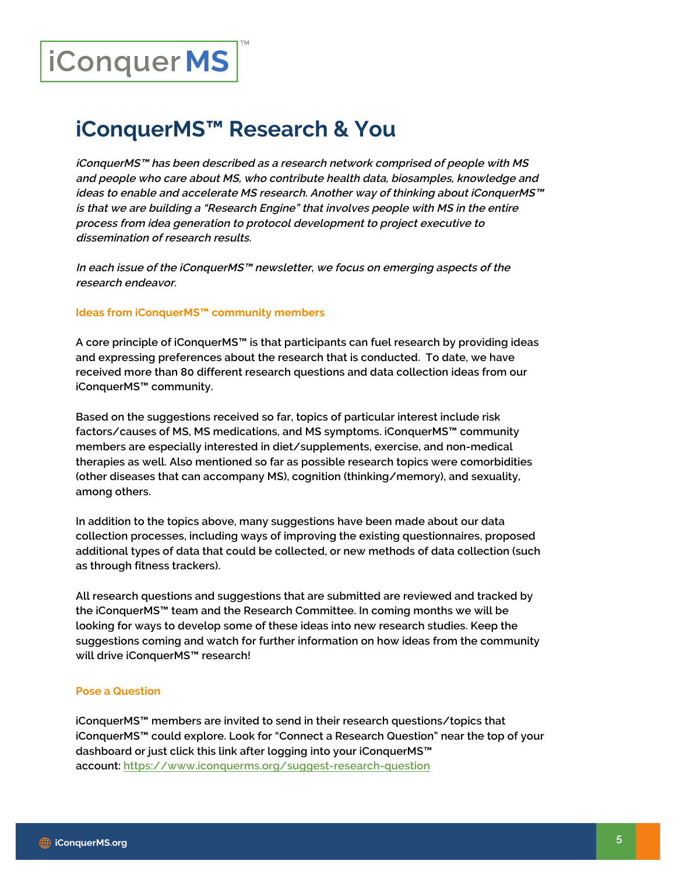# iConquerMS

### iConquerMS™ Research & You

iConquerMS™ has been described as a research network comprised of people with MS and people who care about MS, who contribute health data, biosamples, knowledge and ideas to enable and accelerate MS research. Another way of thinking about iConquerMS™ is that we are building a "Research Engine" that involves people with MS in the entire process from idea generation to protocol development to project executive to dissemination of research results.

In each issue of the iConquerMS™ newsletter, we focus on emerging aspects of the research endeavor.

#### Ideas from iConquerMS™ community members

A core principle of iConquerMS™ is that participants can fuel research by providing ideas and expressing preferences about the research that is conducted. To date, we have received more than 80 different research questions and data collection ideas from our iConquerMS™ community.

Based on the suggestions received so far, topics of particular interest include risk factors/causes of MS, MS medications, and MS symptoms. iConquerMS™ community members are especially interested in diet/supplements, exercise, and non-medical therapies as well. Also mentioned so far as possible research topics were comorbidities (other diseases that can accompany MS), cognition (thinking/memory), and sexuality, among others.

In addition to the topics above, many suggestions have been made about our data collection processes, including ways of improving the existing questionnaires, proposed additional types of data that could be collected, or new methods of data collection (such as through fitness trackers).

All research questions and suggestions that are submitted are reviewed and tracked by the iConquerMS™ team and the Research Committee. In coming months we will be looking for ways to develop some of these ideas into new research studies. Keep the suggestions coming and watch for further information on how ideas from the community will drive iConquerMS™ research!

#### Pose a Question

iConquerMS™ members are invited to send in their research questions/topics that iConquerMS™ could explore. Look for "Connect a Research Question" near the top of your dashboard or just click this link after logging into your iConquerMS™ account: https://www.iconquerms.org/suggest-research-question